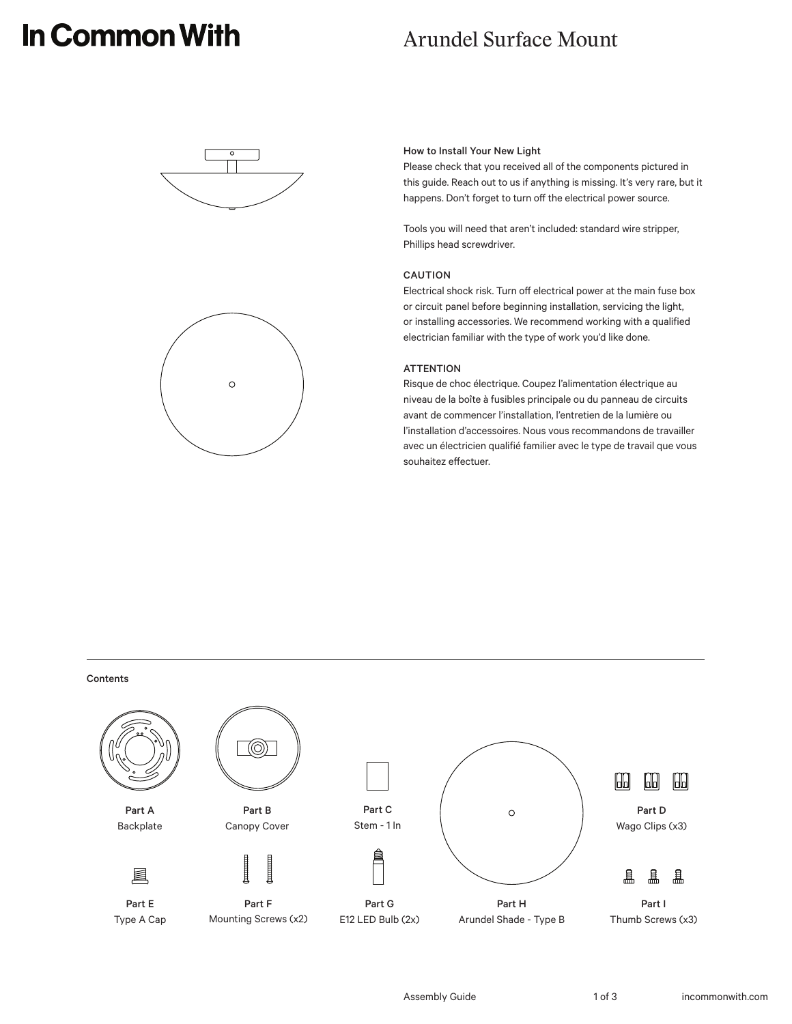# In Common With

## Arundel Surface Mount





#### How to Install Your New Light

Please check that you received all of the components pictured in this guide. Reach out to us if anything is missing. It's very rare, but it happens. Don't forget to turn off the electrical power source.

Tools you will need that aren't included: standard wire stripper, Phillips head screwdriver.

#### CAUTION

Electrical shock risk. Turn off electrical power at the main fuse box or circuit panel before beginning installation, servicing the light, or installing accessories. We recommend working with a qualified electrician familiar with the type of work you'd like done.

#### **ATTENTION**

Risque de choc électrique. Coupez l'alimentation électrique au niveau de la boîte à fusibles principale ou du panneau de circuits avant de commencer l'installation, l'entretien de la lumière ou l'installation d'accessoires. Nous vous recommandons de travailler avec un électricien qualifié familier avec le type de travail que vous souhaitez effectuer.

#### Contents

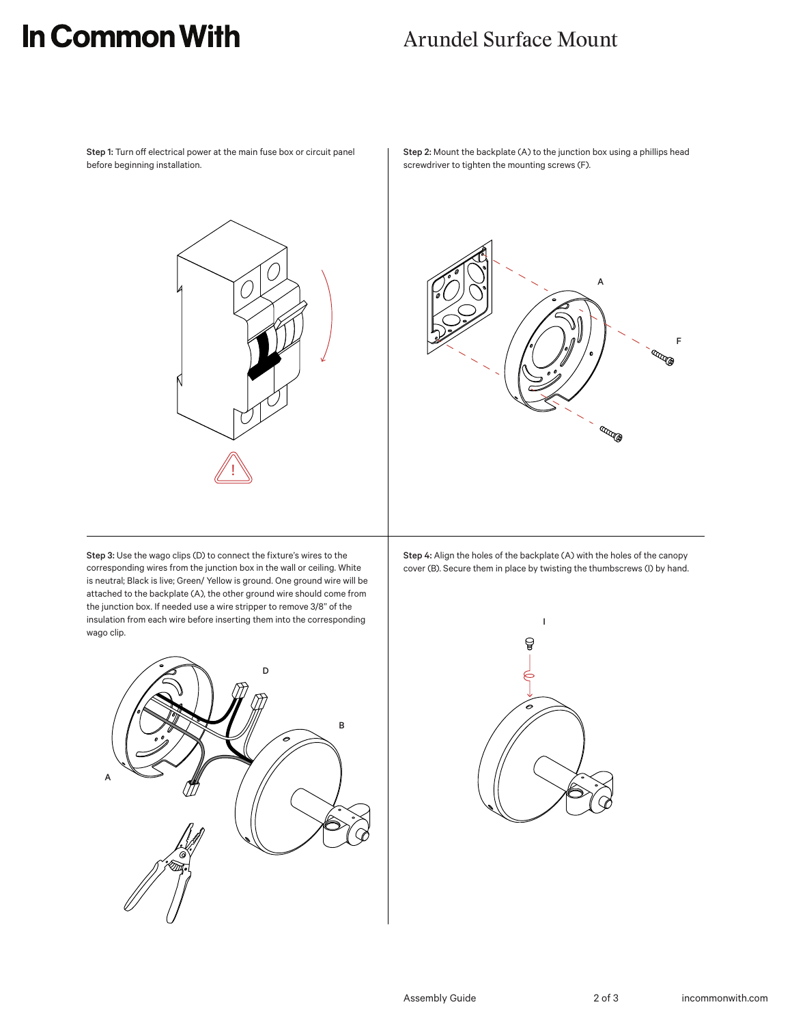## In Common With

### Arundel Surface Mount

Step 1: Turn off electrical power at the main fuse box or circuit panel before beginning installation.



Step 2: Mount the backplate (A) to the junction box using a phillips head screwdriver to tighten the mounting screws (F).



Step 4: Align the holes of the backplate (A) with the holes of the canopy cover (B). Secure them in place by twisting the thumbscrews (I) by hand.



Step 3: Use the wago clips (D) to connect the fixture's wires to the corresponding wires from the junction box in the wall or ceiling. White is neutral; Black is live; Green/ Yellow is ground. One ground wire will be